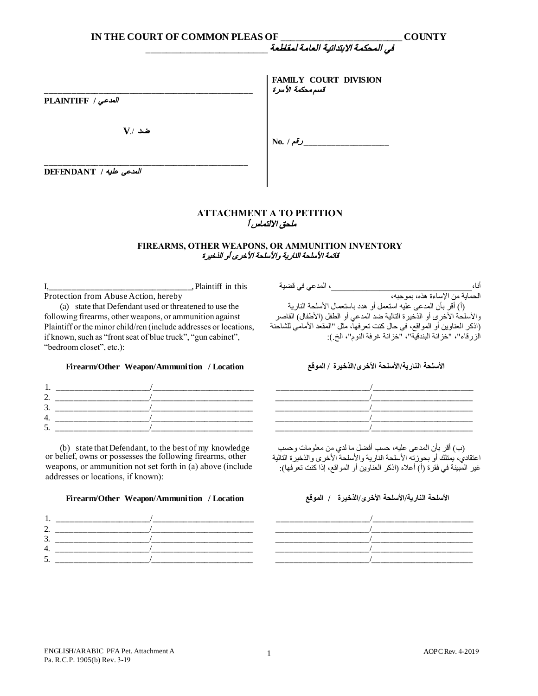| IN THE COURT OF COMMON PLEAS OF |                                                  | <b>COUNTY</b> |
|---------------------------------|--------------------------------------------------|---------------|
|                                 |                                                  |               |
| العدعى / PLAINTIFF              | <b>FAMILY COURT DIVISION</b><br>قسم محكمة الأسرة |               |
| $V/$ ضد                         |                                                  |               |
| العدعى عليه / DEFENDANT         |                                                  |               |

## **ATTACHMENT А TO PETITION**  ملحق الالتماس أ

### **FIREARMS, OTHER WEAPONS, OR AMMUNITION INVENTORY**  قائمة الأسلحة الناریة والأسلحة الأخرى أو الذخیرة

I,\_\_\_\_\_\_\_\_\_\_\_\_\_\_\_\_\_\_\_\_\_\_\_\_\_\_\_\_\_\_\_\_, Plaintiff in this Protection from Abuse Action, hereby (a) state that Defendant used or threatened to use the

following firearms, other weapons, or ammunition against Plaintiff or the minor child/ren (include addresses or locations, if known, such as "front seat of blue truck", "gun cabinet", "bedroom closet", etc.):

## **الأسلحة الناریة/الأسلحة الأخرى/الذخیرة / الموقع Location / Ammunition/Weapon Other/Firearm**

| $\cdot$ $\cdot$ |  |             |              |      |  |
|-----------------|--|-------------|--------------|------|--|
|                 |  | $\sim$ 4.4. | $\mathbf{M}$ | ٦. J |  |

الحمایة من الإساءة ھذه، بموجبھ، (أ) أقر بأن المدعى علیھ استعمل أو ھدد باستعمال الأسلحة الناریة والأسلحة الأخرى أو الذخیرة التالیة ضد المدعي أو الطفل (الأطفال) القاصر (اذكر العناوین أو المواقع، في حال كنت تعرفھا، مثل "المقعد الأمامي للشاحنة ر<br>الزرقاء"، "خزانة البندقیة"، "خزانة غرفة النوم"، الخ.):

| . .                                  | ___  | ____ |          |  |
|--------------------------------------|------|------|----------|--|
| ⌒<br><u>.</u>                        |      |      | ________ |  |
| ⌒<br>$\overline{\phantom{a}}$<br>، ب | ____ |      | ______   |  |
| 4.                                   | ____ |      | _____    |  |
| -<br>۰<br><u>.</u>                   |      |      |          |  |
|                                      | ____ |      | ____     |  |

(b) state that Defendant, to the best of my knowledge or belief, owns or possesses the following firearms, other weapons, or ammunition not set forth in (a) above (include addresses or locations, if known):

# **الأسلحة الناریة/الأسلحة الأخرى/الذخیرة / الموقع Location / Ammunition/Weapon Other/Firearm**



(ب) أقر بأن المدعى علیھ، حسب أفضل ما لدي من معلومات وحسب اعتقادي، یمتلك أو بحوزتھ الأسلحة الناریة والأسلحة الأخرى والذخیرة التالیة غیر المبینة في فقرة (أ) أعلاه (اذكر العناوین أو المواقع، إذا كنت تعرفھا):